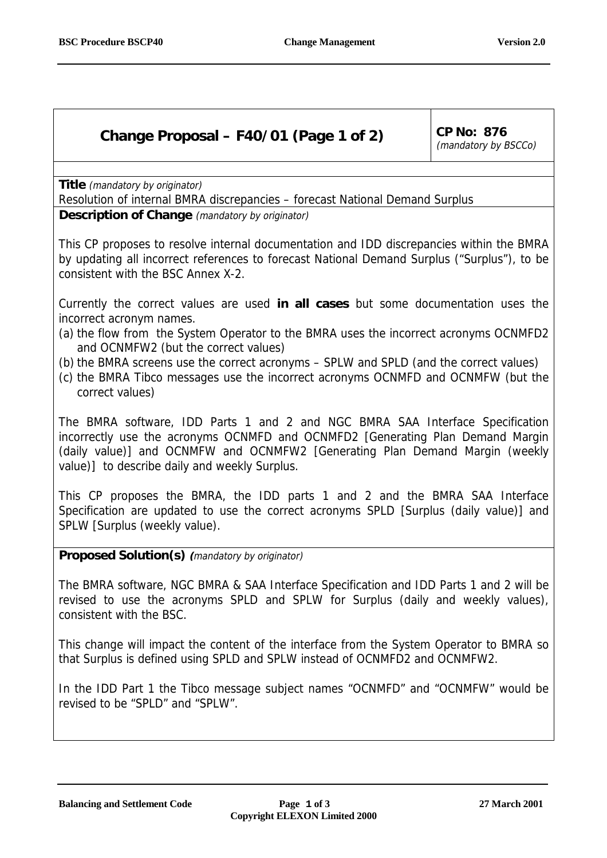## **Change Proposal – F40/01 (Page 1 of 2) CP No: 876**

(mandatory by BSCCo)

**Title** (mandatory by originator)

Resolution of internal BMRA discrepancies – forecast National Demand Surplus **Description of Change** (mandatory by originator)

This CP proposes to resolve internal documentation and IDD discrepancies within the BMRA by updating all incorrect references to forecast National Demand Surplus ("Surplus"), to be consistent with the BSC Annex X-2.

Currently the correct values are used **in all cases** but some documentation uses the incorrect acronym names.

- (a) the flow from the System Operator to the BMRA uses the incorrect acronyms OCNMFD2 and OCNMFW2 (but the correct values)
- (b) the BMRA screens use the correct acronyms SPLW and SPLD (and the correct values)
- (c) the BMRA Tibco messages use the incorrect acronyms OCNMFD and OCNMFW (but the correct values)

The BMRA software, IDD Parts 1 and 2 and NGC BMRA SAA Interface Specification incorrectly use the acronyms OCNMFD and OCNMFD2 [Generating Plan Demand Margin (daily value)] and OCNMFW and OCNMFW2 [Generating Plan Demand Margin (weekly value)] to describe daily and weekly Surplus.

This CP proposes the BMRA, the IDD parts 1 and 2 and the BMRA SAA Interface Specification are updated to use the correct acronyms SPLD [Surplus (daily value)] and SPLW [Surplus (weekly value).

**Proposed Solution(s) (**mandatory by originator)

The BMRA software, NGC BMRA & SAA Interface Specification and IDD Parts 1 and 2 will be revised to use the acronyms SPLD and SPLW for Surplus (daily and weekly values), consistent with the BSC.

This change will impact the content of the interface from the System Operator to BMRA so that Surplus is defined using SPLD and SPLW instead of OCNMFD2 and OCNMFW2.

In the IDD Part 1 the Tibco message subject names "OCNMFD" and "OCNMFW" would be revised to be "SPLD" and "SPLW".

**Balancing and Settlement Code Page 1 of 3 27 March 2001**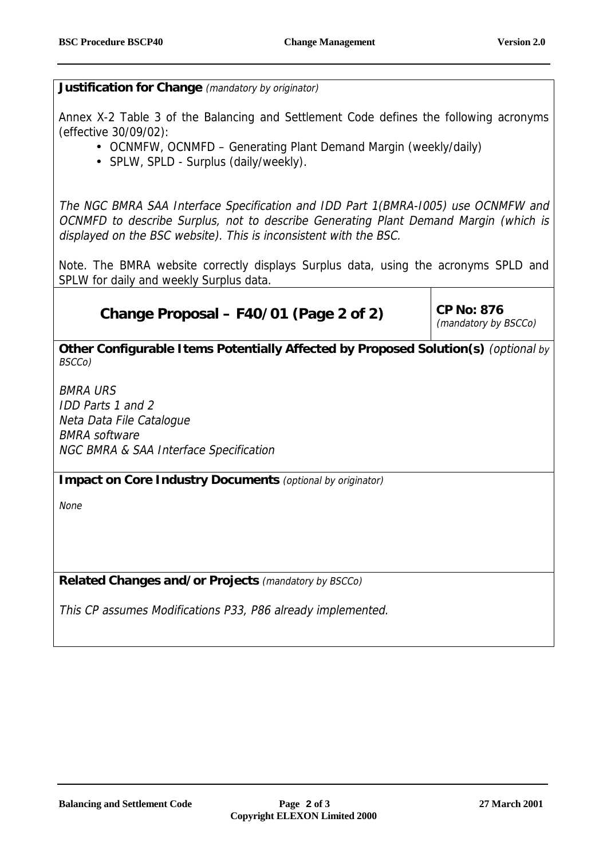**Justification for Change** (mandatory by originator)

Annex X-2 Table 3 of the Balancing and Settlement Code defines the following acronyms (effective 30/09/02):

- OCNMFW, OCNMFD Generating Plant Demand Margin (weekly/daily)
- SPLW, SPLD Surplus (daily/weekly).

The NGC BMRA SAA Interface Specification and IDD Part 1(BMRA-I005) use OCNMFW and OCNMFD to describe Surplus, not to describe Generating Plant Demand Margin (which is displayed on the BSC website). This is inconsistent with the BSC.

Note. The BMRA website correctly displays Surplus data, using the acronyms SPLD and SPLW for daily and weekly Surplus data.

## **Change Proposal – F40/01 (Page 2 of 2)** CP No: 876

(mandatory by BSCCo)

**Other Configurable Items Potentially Affected by Proposed Solution(s)** (optional by BSCCo)

BMRA URS IDD Parts 1 and 2 Neta Data File Catalogue BMRA software NGC BMRA & SAA Interface Specification

**Impact on Core Industry Documents** (optional by originator)

None

**Related Changes and/or Projects** (mandatory by BSCCo)

This CP assumes Modifications P33, P86 already implemented.